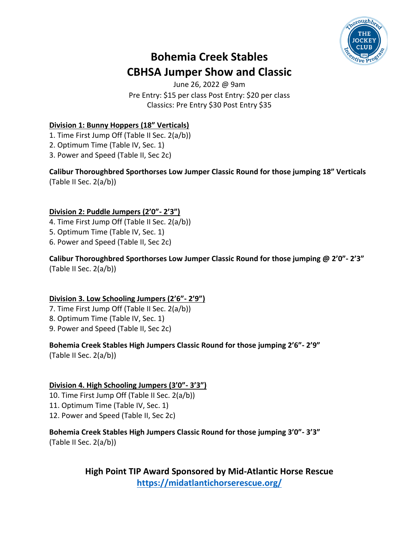

## **Bohemia Creek Stables CBHSA Jumper Show and Classic**

June 26, 2022 @ 9am Pre Entry: \$15 per class Post Entry: \$20 per class Classics: Pre Entry \$30 Post Entry \$35

#### **Division 1: Bunny Hoppers (18" Verticals)**

- 1. Time First Jump Off (Table II Sec. 2(a/b))
- 2. Optimum Time (Table IV, Sec. 1)
- 3. Power and Speed (Table II, Sec 2c)

**Calibur Thoroughbred Sporthorses Low Jumper Classic Round for those jumping 18" Verticals** (Table II Sec. 2(a/b))

## **Division 2: Puddle Jumpers (2'0"- 2'3")**

- 4. Time First Jump Off (Table II Sec. 2(a/b))
- 5. Optimum Time (Table IV, Sec. 1)
- 6. Power and Speed (Table II, Sec 2c)

**Calibur Thoroughbred Sporthorses Low Jumper Classic Round for those jumping @ 2'0"- 2'3"** (Table II Sec. 2(a/b))

#### **Division 3. Low Schooling Jumpers (2'6"- 2'9")**

- 7. Time First Jump Off (Table II Sec. 2(a/b))
- 8. Optimum Time (Table IV, Sec. 1)
- 9. Power and Speed (Table II, Sec 2c)

## **Bohemia Creek Stables High Jumpers Classic Round for those jumping 2'6"- 2'9"**

(Table II Sec. 2(a/b))

## **Division 4. High Schooling Jumpers (3'0"- 3'3")**

10. Time First Jump Off (Table II Sec. 2(a/b)) 11. Optimum Time (Table IV, Sec. 1) 12. Power and Speed (Table II, Sec 2c)

#### **Bohemia Creek Stables High Jumpers Classic Round for those jumping 3'0"- 3'3"** (Table II Sec. 2(a/b))

**High Point TIP Award Sponsored by Mid-Atlantic Horse Rescue <https://midatlantichorserescue.org/>**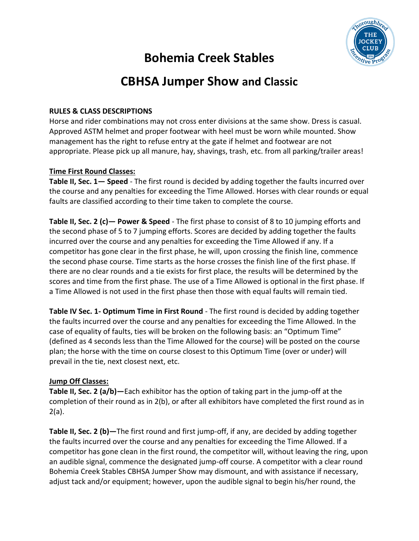

# **Bohemia Creek Stables**

## **CBHSA Jumper Show and Classic**

#### **RULES & CLASS DESCRIPTIONS**

Horse and rider combinations may not cross enter divisions at the same show. Dress is casual. Approved ASTM helmet and proper footwear with heel must be worn while mounted. Show management has the right to refuse entry at the gate if helmet and footwear are not appropriate. Please pick up all manure, hay, shavings, trash, etc. from all parking/trailer areas!

#### **Time First Round Classes:**

**Table II, Sec. 1— Speed** - The first round is decided by adding together the faults incurred over the course and any penalties for exceeding the Time Allowed. Horses with clear rounds or equal faults are classified according to their time taken to complete the course.

**Table II, Sec. 2 (c)— Power & Speed** - The first phase to consist of 8 to 10 jumping efforts and the second phase of 5 to 7 jumping efforts. Scores are decided by adding together the faults incurred over the course and any penalties for exceeding the Time Allowed if any. If a competitor has gone clear in the first phase, he will, upon crossing the finish line, commence the second phase course. Time starts as the horse crosses the finish line of the first phase. If there are no clear rounds and a tie exists for first place, the results will be determined by the scores and time from the first phase. The use of a Time Allowed is optional in the first phase. If a Time Allowed is not used in the first phase then those with equal faults will remain tied.

**Table IV Sec. 1- Optimum Time in First Round** - The first round is decided by adding together the faults incurred over the course and any penalties for exceeding the Time Allowed. In the case of equality of faults, ties will be broken on the following basis: an "Optimum Time" (defined as 4 seconds less than the Time Allowed for the course) will be posted on the course plan; the horse with the time on course closest to this Optimum Time (over or under) will prevail in the tie, next closest next, etc.

#### **Jump Off Classes:**

**Table II, Sec. 2 (a/b)—**Each exhibitor has the option of taking part in the jump-off at the completion of their round as in 2(b), or after all exhibitors have completed the first round as in 2(a).

**Table II, Sec. 2 (b)—**The first round and first jump-off, if any, are decided by adding together the faults incurred over the course and any penalties for exceeding the Time Allowed. If a competitor has gone clean in the first round, the competitor will, without leaving the ring, upon an audible signal, commence the designated jump-off course. A competitor with a clear round Bohemia Creek Stables CBHSA Jumper Show may dismount, and with assistance if necessary, adjust tack and/or equipment; however, upon the audible signal to begin his/her round, the